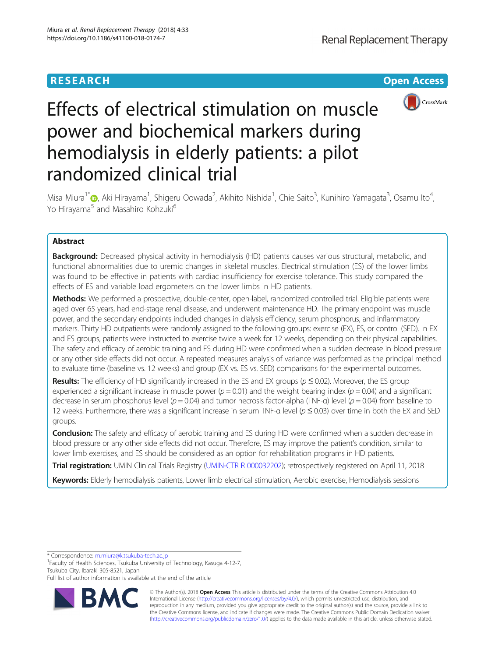# **RESEARCH CHINESE ARCH CHINESE ARCHITECT AND THE CHINESE ARCHITECT ARCHITECT ARCHITECT ARCHITECT ARCHITECT ARCHITECT ARCHITECT ARCHITECT ARCHITECT ARCHITECT ARCHITECT ARCHITECT ARCHITECT ARCHITECT ARCHITECT ARCHITECT A**



# Effects of electrical stimulation on muscle power and biochemical markers during hemodialysis in elderly patients: a pilot randomized clinical trial

Misa Miura<sup>1\*</sup>�[,](http://orcid.org/0000-0003-4773-1719) Aki Hirayama<sup>1</sup>, Shigeru Oowada<sup>2</sup>, Akihito Nishida<sup>1</sup>, Chie Saito<sup>3</sup>, Kunihiro Yamagata<sup>3</sup>, Osamu Ito<sup>4</sup> , Yo Hirayama<sup>5</sup> and Masahiro Kohzuki<sup>6</sup>

# Abstract

**Background:** Decreased physical activity in hemodialysis (HD) patients causes various structural, metabolic, and functional abnormalities due to uremic changes in skeletal muscles. Electrical stimulation (ES) of the lower limbs was found to be effective in patients with cardiac insufficiency for exercise tolerance. This study compared the effects of ES and variable load ergometers on the lower limbs in HD patients.

Methods: We performed a prospective, double-center, open-label, randomized controlled trial. Eligible patients were aged over 65 years, had end-stage renal disease, and underwent maintenance HD. The primary endpoint was muscle power, and the secondary endpoints included changes in dialysis efficiency, serum phosphorus, and inflammatory markers. Thirty HD outpatients were randomly assigned to the following groups: exercise (EX), ES, or control (SED). In EX and ES groups, patients were instructed to exercise twice a week for 12 weeks, depending on their physical capabilities. The safety and efficacy of aerobic training and ES during HD were confirmed when a sudden decrease in blood pressure or any other side effects did not occur. A repeated measures analysis of variance was performed as the principal method to evaluate time (baseline vs. 12 weeks) and group (EX vs. ES vs. SED) comparisons for the experimental outcomes.

Results: The efficiency of HD significantly increased in the ES and EX groups ( $p \le 0.02$ ). Moreover, the ES group experienced a significant increase in muscle power ( $p = 0.01$ ) and the weight bearing index ( $p = 0.04$ ) and a significant decrease in serum phosphorus level ( $p = 0.04$ ) and tumor necrosis factor-alpha (TNF- $\alpha$ ) level ( $p = 0.04$ ) from baseline to 12 weeks. Furthermore, there was a significant increase in serum TNF-a level ( $p \le 0.03$ ) over time in both the EX and SED groups.

Conclusion: The safety and efficacy of aerobic training and ES during HD were confirmed when a sudden decrease in blood pressure or any other side effects did not occur. Therefore, ES may improve the patient's condition, similar to lower limb exercises, and ES should be considered as an option for rehabilitation programs in HD patients.

Trial registration: UMIN Clinical Trials Registry ([UMIN-CTR R 000032202](https://upload.umin.ac.jp/cgi-open-bin/ctr_e/ctr_view.cgi?recptno=R000036726)); retrospectively registered on April 11, 2018

Keywords: Elderly hemodialysis patients, Lower limb electrical stimulation, Aerobic exercise, Hemodialysis sessions

\* Correspondence: [m.miura@k.tsukuba-tech.ac.jp](mailto:m.miura@k.tsukuba-tech.ac.jp) <sup>1</sup>

<sup>1</sup>Faculty of Health Sciences, Tsukuba University of Technology, Kasuga 4-12-7, Tsukuba City, Ibaraki 305-8521, Japan

Full list of author information is available at the end of the article



© The Author(s). 2018 Open Access This article is distributed under the terms of the Creative Commons Attribution 4.0 International License [\(http://creativecommons.org/licenses/by/4.0/](http://creativecommons.org/licenses/by/4.0/)), which permits unrestricted use, distribution, and reproduction in any medium, provided you give appropriate credit to the original author(s) and the source, provide a link to the Creative Commons license, and indicate if changes were made. The Creative Commons Public Domain Dedication waiver [\(http://creativecommons.org/publicdomain/zero/1.0/](http://creativecommons.org/publicdomain/zero/1.0/)) applies to the data made available in this article, unless otherwise stated.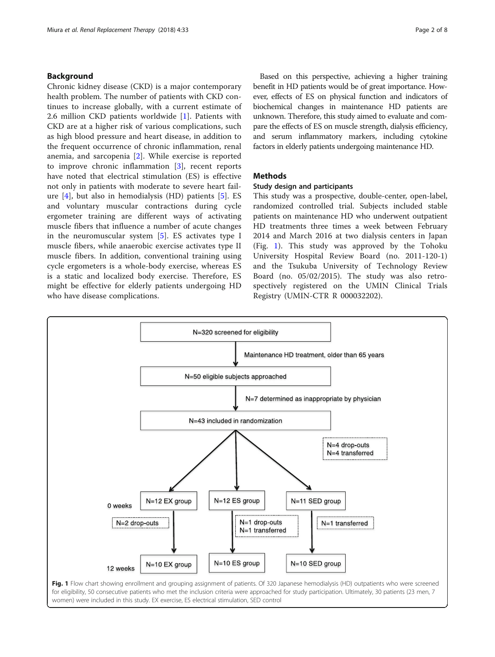# Background

Chronic kidney disease (CKD) is a major contemporary health problem. The number of patients with CKD continues to increase globally, with a current estimate of 2.6 million CKD patients worldwide [[1](#page-7-0)]. Patients with CKD are at a higher risk of various complications, such as high blood pressure and heart disease, in addition to the frequent occurrence of chronic inflammation, renal anemia, and sarcopenia [[2\]](#page-7-0). While exercise is reported to improve chronic inflammation [[3\]](#page-7-0), recent reports have noted that electrical stimulation (ES) is effective not only in patients with moderate to severe heart failure  $[4]$  $[4]$ , but also in hemodialysis (HD) patients  $[5]$  $[5]$ . ES and voluntary muscular contractions during cycle ergometer training are different ways of activating muscle fibers that influence a number of acute changes in the neuromuscular system  $[5]$  $[5]$ . ES activates type I muscle fibers, while anaerobic exercise activates type II muscle fibers. In addition, conventional training using cycle ergometers is a whole-body exercise, whereas ES is a static and localized body exercise. Therefore, ES might be effective for elderly patients undergoing HD who have disease complications.

Based on this perspective, achieving a higher training benefit in HD patients would be of great importance. However, effects of ES on physical function and indicators of biochemical changes in maintenance HD patients are unknown. Therefore, this study aimed to evaluate and compare the effects of ES on muscle strength, dialysis efficiency, and serum inflammatory markers, including cytokine factors in elderly patients undergoing maintenance HD.

# **Methods**

# Study design and participants

This study was a prospective, double-center, open-label, randomized controlled trial. Subjects included stable patients on maintenance HD who underwent outpatient HD treatments three times a week between February 2014 and March 2016 at two dialysis centers in Japan (Fig. 1). This study was approved by the Tohoku University Hospital Review Board (no. 2011-120-1) and the Tsukuba University of Technology Review Board (no. 05/02/2015). The study was also retrospectively registered on the UMIN Clinical Trials Registry (UMIN-CTR R 000032202).

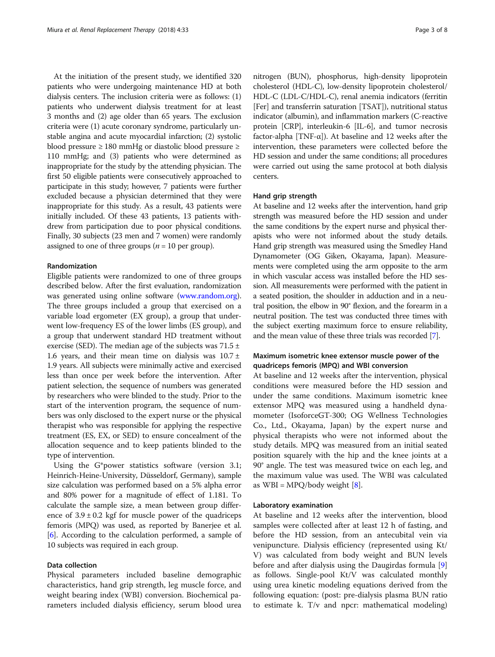At the initiation of the present study, we identified 320 patients who were undergoing maintenance HD at both dialysis centers. The inclusion criteria were as follows: (1) patients who underwent dialysis treatment for at least 3 months and (2) age older than 65 years. The exclusion criteria were (1) acute coronary syndrome, particularly unstable angina and acute myocardial infarction; (2) systolic blood pressure ≥ 180 mmHg or diastolic blood pressure ≥ 110 mmHg; and (3) patients who were determined as inappropriate for the study by the attending physician. The first 50 eligible patients were consecutively approached to participate in this study; however, 7 patients were further excluded because a physician determined that they were inappropriate for this study. As a result, 43 patients were initially included. Of these 43 patients, 13 patients withdrew from participation due to poor physical conditions. Finally, 30 subjects (23 men and 7 women) were randomly assigned to one of three groups ( $n = 10$  per group).

## Randomization

Eligible patients were randomized to one of three groups described below. After the first evaluation, randomization was generated using online software [\(www.random.org](http://www.random.org/)). The three groups included a group that exercised on a variable load ergometer (EX group), a group that underwent low-frequency ES of the lower limbs (ES group), and a group that underwent standard HD treatment without exercise (SED). The median age of the subjects was  $71.5 \pm 1.5$ 1.6 years, and their mean time on dialysis was  $10.7 \pm$ 1.9 years. All subjects were minimally active and exercised less than once per week before the intervention. After patient selection, the sequence of numbers was generated by researchers who were blinded to the study. Prior to the start of the intervention program, the sequence of numbers was only disclosed to the expert nurse or the physical therapist who was responsible for applying the respective treatment (ES, EX, or SED) to ensure concealment of the allocation sequence and to keep patients blinded to the type of intervention.

Using the G\*power statistics software (version 3.1; Heinrich-Heine-University, Düsseldorf, Germany), sample size calculation was performed based on a 5% alpha error and 80% power for a magnitude of effect of 1.181. To calculate the sample size, a mean between group difference of  $3.9 \pm 0.2$  kgf for muscle power of the quadriceps femoris (MPQ) was used, as reported by Banerjee et al. [[6\]](#page-7-0). According to the calculation performed, a sample of 10 subjects was required in each group.

# Data collection

Physical parameters included baseline demographic characteristics, hand grip strength, leg muscle force, and weight bearing index (WBI) conversion. Biochemical parameters included dialysis efficiency, serum blood urea nitrogen (BUN), phosphorus, high-density lipoprotein cholesterol (HDL-C), low-density lipoprotein cholesterol/ HDL-C (LDL-C/HDL-C), renal anemia indicators (ferritin [Fer] and transferrin saturation [TSAT]), nutritional status indicator (albumin), and inflammation markers (C-reactive protein [CRP], interleukin-6 [IL-6], and tumor necrosis factor-alpha [TNF- $\alpha$ ]). At baseline and 12 weeks after the intervention, these parameters were collected before the HD session and under the same conditions; all procedures were carried out using the same protocol at both dialysis centers.

#### Hand grip strength

At baseline and 12 weeks after the intervention, hand grip strength was measured before the HD session and under the same conditions by the expert nurse and physical therapists who were not informed about the study details. Hand grip strength was measured using the Smedley Hand Dynamometer (OG Giken, Okayama, Japan). Measurements were completed using the arm opposite to the arm in which vascular access was installed before the HD session. All measurements were performed with the patient in a seated position, the shoulder in adduction and in a neutral position, the elbow in 90° flexion, and the forearm in a neutral position. The test was conducted three times with the subject exerting maximum force to ensure reliability, and the mean value of these three trials was recorded [\[7\]](#page-7-0).

# Maximum isometric knee extensor muscle power of the quadriceps femoris (MPQ) and WBI conversion

At baseline and 12 weeks after the intervention, physical conditions were measured before the HD session and under the same conditions. Maximum isometric knee extensor MPQ was measured using a handheld dynamometer (IsoforceGT-300; OG Wellness Technologies Co., Ltd., Okayama, Japan) by the expert nurse and physical therapists who were not informed about the study details. MPQ was measured from an initial seated position squarely with the hip and the knee joints at a 90° angle. The test was measured twice on each leg, and the maximum value was used. The WBI was calculated as WBI = MPQ/body weight  $[8]$  $[8]$ .

#### Laboratory examination

At baseline and 12 weeks after the intervention, blood samples were collected after at least 12 h of fasting, and before the HD session, from an antecubital vein via venipuncture. Dialysis efficiency (represented using Kt/ V) was calculated from body weight and BUN levels before and after dialysis using the Daugirdas formula [\[9](#page-7-0)] as follows. Single-pool Kt/V was calculated monthly using urea kinetic modeling equations derived from the following equation: (post: pre-dialysis plasma BUN ratio to estimate k. T/v and npcr: mathematical modeling)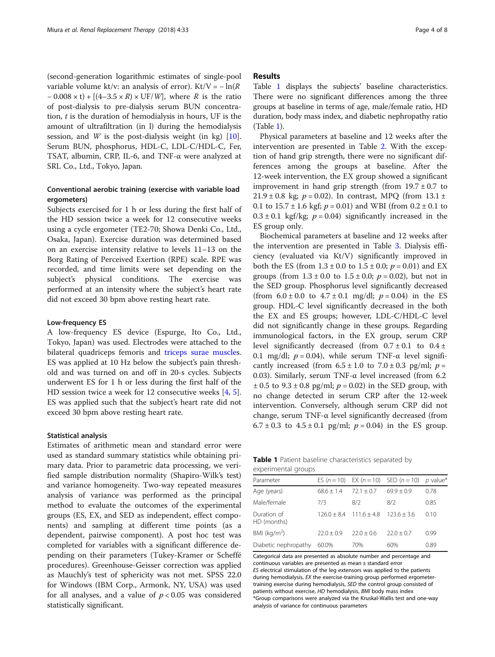(second-generation logarithmic estimates of single-pool variable volume kt/v: an analysis of error). Kt/V =  $-\ln(R)$  $-0.008 \times t$ ) + [(4–3.5 × R) × UF/W], where R is the ratio of post-dialysis to pre-dialysis serum BUN concentration,  $t$  is the duration of hemodialysis in hours, UF is the amount of ultrafiltration (in l) during the hemodialysis session, and *W* is the post-dialysis weight (in kg)  $[10]$  $[10]$ . Serum BUN, phosphorus, HDL-C, LDL-C/HDL-C, Fer, TSAT, albumin, CRP, IL-6, and TNF-α were analyzed at SRL Co., Ltd., Tokyo, Japan.

# Conventional aerobic training (exercise with variable load ergometers)

Subjects exercised for 1 h or less during the first half of the HD session twice a week for 12 consecutive weeks using a cycle ergometer (TE2-70; Showa Denki Co., Ltd., Osaka, Japan). Exercise duration was determined based on an exercise intensity relative to levels 11–13 on the Borg Rating of Perceived Exertion (RPE) scale. RPE was recorded, and time limits were set depending on the subject's physical conditions. The exercise was performed at an intensity where the subject's heart rate did not exceed 30 bpm above resting heart rate.

#### Low-frequency ES

A low-frequency ES device (Espurge, Ito Co., Ltd., Tokyo, Japan) was used. Electrodes were attached to the bilateral quadriceps femoris and [triceps surae muscles](http://ejje.weblio.jp/content/Triceps+surae+muscle). ES was applied at 10 Hz below the subject's pain threshold and was turned on and off in 20-s cycles. Subjects underwent ES for 1 h or less during the first half of the HD session twice a week for 12 consecutive weeks [\[4](#page-7-0), [5](#page-7-0)]. ES was applied such that the subject's heart rate did not exceed 30 bpm above resting heart rate.

#### Statistical analysis

Estimates of arithmetic mean and standard error were used as standard summary statistics while obtaining primary data. Prior to parametric data processing, we verified sample distribution normality (Shapiro-Wilk's test) and variance homogeneity. Two-way repeated measures analysis of variance was performed as the principal method to evaluate the outcomes of the experimental groups (ES, EX, and SED as independent, effect components) and sampling at different time points (as a dependent, pairwise component). A post hoc test was completed for variables with a significant difference depending on their parameters (Tukey-Kramer or Scheffé procedures). Greenhouse-Geisser correction was applied as Mauchly's test of sphericity was not met. SPSS 22.0 for Windows (IBM Corp., Armonk, NY, USA) was used for all analyses, and a value of  $p < 0.05$  was considered statistically significant.

# Results

Table 1 displays the subjects' baseline characteristics. There were no significant differences among the three groups at baseline in terms of age, male/female ratio, HD duration, body mass index, and diabetic nephropathy ratio (Table 1).

Physical parameters at baseline and 12 weeks after the intervention are presented in Table [2](#page-4-0). With the exception of hand grip strength, there were no significant differences among the groups at baseline. After the 12-week intervention, the EX group showed a significant improvement in hand grip strength (from  $19.7 \pm 0.7$  to  $21.9 \pm 0.8$  kg;  $p = 0.02$ ). In contrast, MPQ (from 13.1  $\pm$ 0.1 to  $15.7 \pm 1.6$  kgf;  $p = 0.01$ ) and WBI (from  $0.2 \pm 0.1$  to  $0.3 \pm 0.1$  kgf/kg;  $p = 0.04$ ) significantly increased in the ES group only.

Biochemical parameters at baseline and 12 weeks after the intervention are presented in Table [3](#page-5-0). Dialysis efficiency (evaluated via Kt/V) significantly improved in both the ES (from  $1.3 \pm 0.0$  to  $1.5 \pm 0.0$ ;  $p = 0.01$ ) and EX groups (from  $1.3 \pm 0.0$  to  $1.5 \pm 0.0$ ;  $p = 0.02$ ), but not in the SED group. Phosphorus level significantly decreased (from  $6.0 \pm 0.0$  to  $4.7 \pm 0.1$  mg/dl;  $p = 0.04$ ) in the ES group. HDL-C level significantly decreased in the both the EX and ES groups; however, LDL-C/HDL-C level did not significantly change in these groups. Regarding immunological factors, in the EX group, serum CRP level significantly decreased (from  $0.7 \pm 0.1$  to  $0.4 \pm$ 0.1 mg/dl;  $p = 0.04$ ), while serum TNF- $\alpha$  level significantly increased (from  $6.5 \pm 1.0$  to  $7.0 \pm 0.3$  pg/ml;  $p =$ 0.03). Similarly, serum TNF-α level increased (from 6.2  $\pm$  0.5 to 9.3  $\pm$  0.8 pg/ml;  $p = 0.02$ ) in the SED group, with no change detected in serum CRP after the 12-week intervention. Conversely, although serum CRP did not change, serum TNF-α level significantly decreased (from 6.7 ± 0.3 to  $4.5 \pm 0.1$  pg/ml;  $p = 0.04$ ) in the ES group.

Table 1 Patient baseline characteristics separated by experimental groups

| Parameter                  |               |               | ES $(n = 10)$ EX $(n = 10)$ SED $(n = 10)$ | p value* |
|----------------------------|---------------|---------------|--------------------------------------------|----------|
| Age (years)                | $68.6 + 1.4$  | $72.1 + 0.7$  | $69.9 + 0.9$                               | 0.78     |
| Male/female                | 7/3           | 8/2           | 8/2                                        | 0.85     |
| Duration of<br>HD (months) | $126.0 + 8.4$ | $111.6 + 4.8$ | $123.6 + 3.6$                              | 0.10     |
| BMI ( $kg/m2$ )            | $22.0 + 0.9$  | $22.0 + 0.6$  | $22.0 + 0.7$                               | 0.99     |
| Diabetic nephropathy       | 60.0%         | 70%           | 60%                                        | 0.89     |

Categorical data are presented as absolute number and percentage and continuous variables are presented as mean ± standard error ES electrical stimulation of the leg extensors was applied to the patients during hemodialysis, EX the exercise-training group performed ergometertraining exercise during hemodialysis, SED the control group consisted of patients without exercise, HD hemodialysis, BMI body mass index \*Group comparisons were analyzed via the Kruskal-Wallis test and one-way analysis of variance for continuous parameters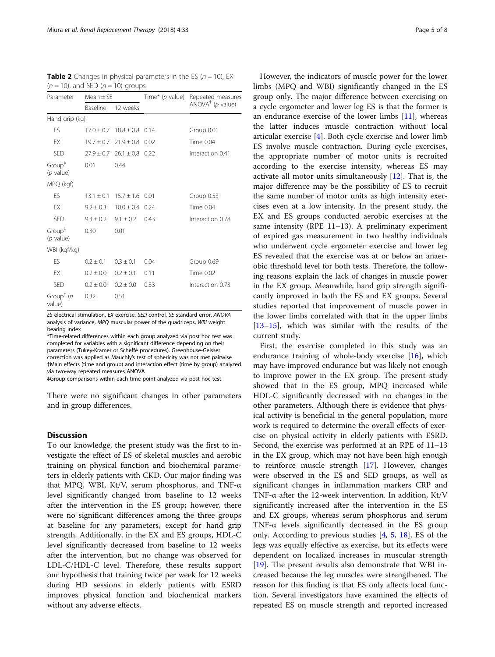<span id="page-4-0"></span>**Table 2** Changes in physical parameters in the ES ( $n = 10$ ), EX  $(n = 10)$ , and SED  $(n = 10)$  groups

| Parameter                          | Mean $\pm$ SE  |                                    | Time* ( $p$ value) | Repeated measures               |  |
|------------------------------------|----------------|------------------------------------|--------------------|---------------------------------|--|
|                                    | Baseline       | 12 weeks                           |                    | ANOVA <sup>+</sup> ( $p$ value) |  |
| Hand grip (kg)                     |                |                                    |                    |                                 |  |
| ES                                 |                | $17.0 \pm 0.7$ $18.8 \pm 0.8$ 0.14 |                    | Group 0.01                      |  |
| EX                                 |                | $19.7 \pm 0.7$ $21.9 \pm 0.8$ 0.02 |                    | Time 0.04                       |  |
| <b>SED</b>                         |                | $27.9 + 0.7$ $26.1 + 0.8$ 0.22     |                    | Interaction 0.41                |  |
| Group <sup>#</sup><br>$(p$ value)  | 0.01           | 0.44                               |                    |                                 |  |
| MPQ (kgf)                          |                |                                    |                    |                                 |  |
| ES                                 | $13.1 \pm 0.1$ | $15.7 \pm 1.6$                     | 0.01               | Group 0.53                      |  |
| EX                                 | $9.2 \pm 0.3$  | $10.0 \pm 0.4$                     | 0.24               | Time 0.04                       |  |
| <b>SED</b>                         | $9.3 \pm 0.2$  | $9.1 \pm 0.2$                      | 0.43               | Interaction 0.78                |  |
| Group <sup>†</sup><br>$(p$ value)  | 0.30           | 0.01                               |                    |                                 |  |
| WBI (kgf/kg)                       |                |                                    |                    |                                 |  |
| ES                                 | $0.2 \pm 0.1$  | $0.3 \pm 0.1$                      | 0.04               | Group 0.69                      |  |
| EX                                 | $0.2 \pm 0.0$  | $0.2 \pm 0.1$                      | 0.11               | Time 0.02                       |  |
| <b>SED</b>                         | $0.2 \pm 0.0$  | $0.2 \pm 0.0$                      | 0.33               | Interaction 0.73                |  |
| Group <sup>#</sup> $(p)$<br>value) | 0.32           | 0.51                               |                    |                                 |  |

ES electrical stimulation, EX exercise, SED control, SE standard error, ANOVA analysis of variance, MPQ muscular power of the quadriceps, WBI weight bearing index

\*Time-related differences within each group analyzed via post hoc test was completed for variables with a significant difference depending on their parameters (Tukey-Kramer or Scheffé procedures). Greenhouse-Geisser correction was applied as Mauchly's test of sphericity was not met pairwise †Main effects (time and group) and interaction effect (time by group) analyzed via two-way repeated measures ANOVA

‡Group comparisons within each time point analyzed via post hoc test

There were no significant changes in other parameters and in group differences.

# Discussion

To our knowledge, the present study was the first to investigate the effect of ES of skeletal muscles and aerobic training on physical function and biochemical parameters in elderly patients with CKD. Our major finding was that MPQ, WBI, Kt/V, serum phosphorus, and TNF-α level significantly changed from baseline to 12 weeks after the intervention in the ES group; however, there were no significant differences among the three groups at baseline for any parameters, except for hand grip strength. Additionally, in the EX and ES groups, HDL-C level significantly decreased from baseline to 12 weeks after the intervention, but no change was observed for LDL-C/HDL-C level. Therefore, these results support our hypothesis that training twice per week for 12 weeks during HD sessions in elderly patients with ESRD improves physical function and biochemical markers without any adverse effects.

However, the indicators of muscle power for the lower limbs (MPQ and WBI) significantly changed in the ES group only. The major difference between exercising on a cycle ergometer and lower leg ES is that the former is an endurance exercise of the lower limbs [\[11](#page-7-0)], whereas the latter induces muscle contraction without local articular exercise [[4\]](#page-7-0). Both cycle exercise and lower limb ES involve muscle contraction. During cycle exercises, the appropriate number of motor units is recruited according to the exercise intensity, whereas ES may activate all motor units simultaneously [\[12](#page-7-0)]. That is, the major difference may be the possibility of ES to recruit the same number of motor units as high intensity exercises even at a low intensity. In the present study, the EX and ES groups conducted aerobic exercises at the same intensity (RPE 11–13). A preliminary experiment of expired gas measurement in two healthy individuals who underwent cycle ergometer exercise and lower leg ES revealed that the exercise was at or below an anaerobic threshold level for both tests. Therefore, the following reasons explain the lack of changes in muscle power in the EX group. Meanwhile, hand grip strength significantly improved in both the ES and EX groups. Several studies reported that improvement of muscle power in the lower limbs correlated with that in the upper limbs [[13](#page-7-0)–[15](#page-7-0)], which was similar with the results of the current study.

First, the exercise completed in this study was an endurance training of whole-body exercise [\[16](#page-7-0)], which may have improved endurance but was likely not enough to improve power in the EX group. The present study showed that in the ES group, MPQ increased while HDL-C significantly decreased with no changes in the other parameters. Although there is evidence that physical activity is beneficial in the general population, more work is required to determine the overall effects of exercise on physical activity in elderly patients with ESRD. Second, the exercise was performed at an RPE of 11–13 in the EX group, which may not have been high enough to reinforce muscle strength [\[17](#page-7-0)]. However, changes were observed in the ES and SED groups, as well as significant changes in inflammation markers CRP and TNF-α after the 12-week intervention. In addition, Kt/V significantly increased after the intervention in the ES and EX groups, whereas serum phosphorus and serum TNF-α levels significantly decreased in the ES group only. According to previous studies [\[4](#page-7-0), [5](#page-7-0), [18\]](#page-7-0), ES of the legs was equally effective as exercise, but its effects were dependent on localized increases in muscular strength [[19\]](#page-7-0). The present results also demonstrate that WBI increased because the leg muscles were strengthened. The reason for this finding is that ES only affects local function. Several investigators have examined the effects of repeated ES on muscle strength and reported increased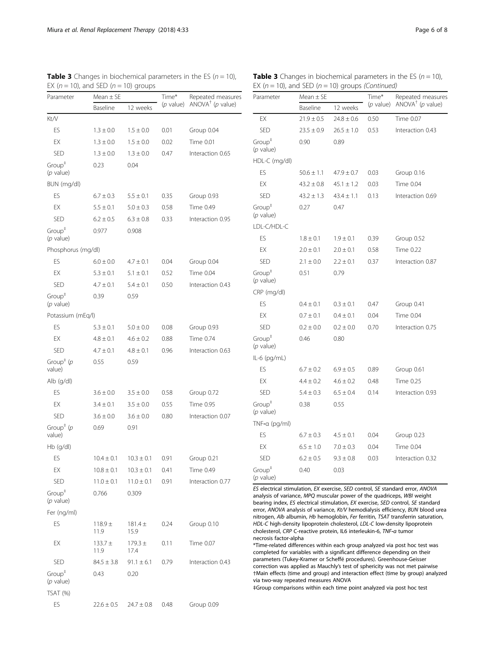<span id="page-5-0"></span>**Table 3** Changes in biochemical parameters in the ES  $(n = 10)$ ,

| EX ( $n = 10$ ), and SED ( $n = 10$ ) groups |                   |                     |           |                     |
|----------------------------------------------|-------------------|---------------------|-----------|---------------------|
| Parameter                                    | Mean $\pm$ SE     |                     | Time*     | Repeated measures   |
|                                              | Baseline          | 12 weeks            | (p value) | ANOVA $†$ (p value) |
| Kt/V                                         |                   |                     |           |                     |
| ES                                           | $1.3 \pm 0.0$     | $1.5 \pm 0.0$       | 0.01      | Group 0.04          |
| EX                                           | $1.3 \pm 0.0$     | $1.5 \pm 0.0$       | 0.02      | Time 0.01           |
| SED                                          | $1.3 \pm 0.0$     | $1.3 \pm 0.0$       | 0.47      | Interaction 0.65    |
| Group <sup>#</sup><br>$(p$ value)            | 0.23              | 0.04                |           |                     |
| BUN (mg/dl)                                  |                   |                     |           |                     |
| ES                                           | $6.7 \pm 0.3$     | $5.5 \pm 0.1$       | 0.35      | Group 0.93          |
| EX                                           | $5.5 \pm 0.1$     | $5.0 \pm 0.3$       | 0.58      | Time 0.49           |
| SED                                          | $6.2 \pm 0.5$     | $6.3 \pm 0.8$       | 0.33      | Interaction 0.95    |
| Group <sup>#</sup><br>$(p$ value)            | 0.977             | 0.908               |           |                     |
| Phosphorus (mg/dl)                           |                   |                     |           |                     |
| ES                                           | $6.0 \pm 0.0$     | $4.7 \pm 0.1$       | 0.04      | Group 0.04          |
| EX                                           | $5.3 \pm 0.1$     | $5.1 \pm 0.1$       | 0.52      | <b>Time 0.04</b>    |
| <b>SED</b>                                   | $4.7 \pm 0.1$     | $5.4 \pm 0.1$       | 0.50      | Interaction 0.43    |
| Group <sup>†</sup><br>$(p$ value)            | 0.39              | 0.59                |           |                     |
| Potassium (mEq/l)                            |                   |                     |           |                     |
| ES                                           | $5.3 \pm 0.1$     | $5.0 \pm 0.0$       | 0.08      | Group 0.93          |
| EX                                           | $4.8 \pm 0.1$     | $4.6 \pm 0.2$       | 0.88      | Time 0.74           |
| SED                                          | $4.7 \pm 0.1$     | $4.8 \pm 0.1$       | 0.96      | Interaction 0.63    |
| Group <sup>#</sup> $(p)$<br>value)           | 0.55              | 0.59                |           |                     |
| Alb (g/dl)                                   |                   |                     |           |                     |
| ES                                           | $3.6 \pm 0.0$     | $3.5 \pm 0.0$       | 0.58      | Group 0.72          |
| EX                                           | $3.4 \pm 0.1$     | $3.5 \pm 0.0$       | 0.55      | Time 0.95           |
| SED                                          | $3.6 \pm 0.0$     | $3.6 \pm 0.0$       | 0.80      | Interaction 0.07    |
| Group <sup>#</sup> $(p)$<br>value)           | 0.69              | 0.91                |           |                     |
| $Hb$ (g/dl)                                  |                   |                     |           |                     |
| ES                                           | $10.4 \pm 0.1$    | $10.3 \pm 0.1$      | 0.91      | Group 0.21          |
| EX                                           | $10.8 \pm 0.1$    | $10.3 \pm 0.1$      | 0.41      | Time 0.49           |
| SED                                          | $11.0 \pm 0.1$    | $11.0 \pm 0.1$      | 0.91      | Interaction 0.77    |
| Group <sup>#</sup><br>$(p$ value)            | 0.766             | 0.309               |           |                     |
| Fer (ng/ml)                                  |                   |                     |           |                     |
| ES                                           | $118.9 +$<br>11.9 | $181.4 \pm$<br>15.9 | 0.24      | Group 0.10          |
| EX                                           | $133.7 +$<br>11.9 | $179.3 \pm$<br>17.4 | 0.11      | Time 0.07           |
| SED                                          | $84.5 \pm 3.8$    | $91.1 \pm 6.1$      | 0.79      | Interaction 0.43    |
| Group <sup>†</sup><br>$(p$ value)            | 0.43              | 0.20                |           |                     |
| TSAT (%)                                     |                   |                     |           |                     |
| ES                                           | $22.6 \pm 0.5$    | $24.7 \pm 0.8$      | 0.48      | Group 0.09          |

| <b>Table 3</b> Changes in biochemical parameters in the ES ( $n = 10$ ), |  |  |
|--------------------------------------------------------------------------|--|--|
| EX ( $n = 10$ ), and SED ( $n = 10$ ) groups (Continued)                 |  |  |

| Repeated measures<br>ANOVA <sup>+</sup> ( $p$ value) | Time*<br>$(p$ value) | Mean $\pm$ SE  |                | Parameter                                                                                                                                                                                                                                  |
|------------------------------------------------------|----------------------|----------------|----------------|--------------------------------------------------------------------------------------------------------------------------------------------------------------------------------------------------------------------------------------------|
|                                                      |                      | 12 weeks       | Baseline       |                                                                                                                                                                                                                                            |
| Time 0.07                                            | 0.50                 | $24.8 \pm 0.6$ | $21.9 \pm 0.5$ | EX                                                                                                                                                                                                                                         |
| Interaction 0.43                                     | 0.53                 | $26.5 \pm 1.0$ | $23.5 \pm 0.9$ | <b>SED</b>                                                                                                                                                                                                                                 |
|                                                      |                      | 0.89           | 0.90           | Group <sup>#</sup><br>(p value)                                                                                                                                                                                                            |
|                                                      |                      |                |                | HDL-C (mg/dl)                                                                                                                                                                                                                              |
| Group 0.16                                           | 0.03                 | $47.9 \pm 0.7$ | $50.6 \pm 1.1$ | ES                                                                                                                                                                                                                                         |
| <b>Time 0.04</b>                                     | 0.03                 | $45.1 \pm 1.2$ | $43.2 \pm 0.8$ | EX                                                                                                                                                                                                                                         |
| Interaction 0.69                                     | 0.13                 | $43.4 \pm 1.1$ | $43.2 \pm 1.3$ | <b>SED</b>                                                                                                                                                                                                                                 |
|                                                      |                      | 0.47           | 0.27           | Group <sup>†</sup><br>(p value)                                                                                                                                                                                                            |
|                                                      |                      |                |                | LDL-C/HDL-C                                                                                                                                                                                                                                |
| Group 0.52                                           | 0.39                 | $1.9 \pm 0.1$  | $1.8 \pm 0.1$  | ES                                                                                                                                                                                                                                         |
| Time $0.22$                                          | 0.58                 | $2.0 \pm 0.1$  | $2.0 \pm 0.1$  | <b>FX</b>                                                                                                                                                                                                                                  |
| Interaction 0.87                                     | 0.37                 | $2.2 \pm 0.1$  | $2.1 \pm 0.0$  | <b>SED</b>                                                                                                                                                                                                                                 |
|                                                      |                      | 0.79           | 0.51           | Group <sup>#</sup><br>(p value)                                                                                                                                                                                                            |
|                                                      |                      |                |                | CRP (mg/dl)                                                                                                                                                                                                                                |
| Group 0.41                                           | 0.47                 | $0.3 \pm 0.1$  | $0.4 \pm 0.1$  | ES                                                                                                                                                                                                                                         |
| <b>Time 0.04</b>                                     | 0.04                 | $0.4 \pm 0.1$  | $0.7 \pm 0.1$  | EX                                                                                                                                                                                                                                         |
| Interaction 0.75                                     | 0.70                 | $0.2 \pm 0.0$  | $0.2 \pm 0.0$  | <b>SED</b>                                                                                                                                                                                                                                 |
|                                                      |                      | 0.80           | 0.46           | Group <sup>‡</sup><br>$(p$ value)                                                                                                                                                                                                          |
|                                                      |                      |                |                | IL-6 (pg/mL)                                                                                                                                                                                                                               |
| Group 0.61                                           | 0.89                 | $6.9 \pm 0.5$  | $6.7 \pm 0.2$  | ES                                                                                                                                                                                                                                         |
| Time 0.25                                            | 0.48                 | $4.6 \pm 0.2$  | $4.4 \pm 0.2$  | EX                                                                                                                                                                                                                                         |
| Interaction 0.93                                     | 0.14                 | $6.5 \pm 0.4$  | $5.4 \pm 0.3$  | <b>SED</b>                                                                                                                                                                                                                                 |
|                                                      |                      | 0.55           | 0.38           | Group <sup>#</sup><br>$(p$ value)                                                                                                                                                                                                          |
|                                                      |                      |                |                | TNF-a (pg/ml)                                                                                                                                                                                                                              |
| Group 0.23                                           | 0.04                 | $4.5 \pm 0.1$  | $6.7 \pm 0.3$  | ES                                                                                                                                                                                                                                         |
| <b>Time 0.04</b>                                     | 0.04                 | $7.0 \pm 0.3$  | $6.5 \pm 1.0$  | EX                                                                                                                                                                                                                                         |
| Interaction 0.32                                     | 0.03                 | $9.3 \pm 0.8$  | $6.2 \pm 0.5$  | <b>SED</b>                                                                                                                                                                                                                                 |
|                                                      |                      | 0.03           | 0.40           | Group <sup>†</sup><br>$(p$ value)                                                                                                                                                                                                          |
|                                                      |                      |                |                | ES electrical stimulation, EX exercise, SED control, SE standard error, ANOVA<br>analysis of variance, MPQ muscular power of the quadriceps, WBI weight<br>bearing index, ES electrical stimulation, EX exercise, SED control, SE standard |

error, ANOVA analysis of variance, Kt/V hemodialysis efficiency, BUN blood urea nitrogen, Alb albumin, Hb hemoglobin, Fer ferritin, TSAT transferrin saturation, HDL-C high-density lipoprotein cholesterol, LDL-C low-density lipoprotein cholesterol, CRP C-reactive protein, IL6 interleukin-6, TNF-α tumor necrosis factor-alpha

\*Time-related differences within each group analyzed via post hoc test was completed for variables with a significant difference depending on their parameters (Tukey-Kramer or Scheffé procedures). Greenhouse-Geisser correction was applied as Mauchly's test of sphericity was not met pairwise †Main effects (time and group) and interaction effect (time by group) analyzed via two-way repeated measures ANOVA

‡Group comparisons within each time point analyzed via post hoc test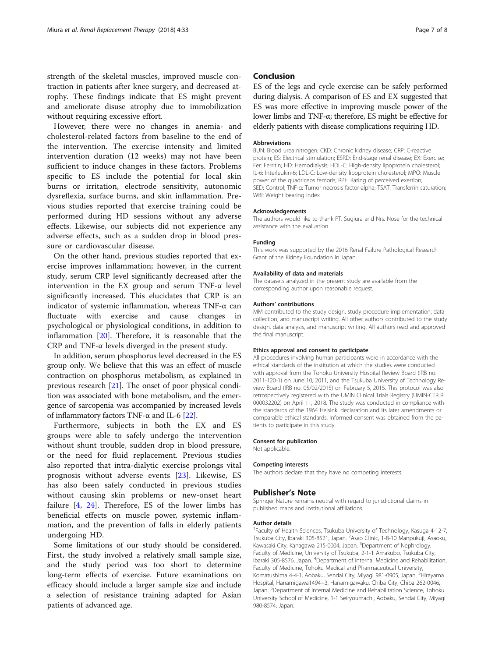strength of the skeletal muscles, improved muscle contraction in patients after knee surgery, and decreased atrophy. These findings indicate that ES might prevent and ameliorate disuse atrophy due to immobilization without requiring excessive effort.

However, there were no changes in anemia- and cholesterol-related factors from baseline to the end of the intervention. The exercise intensity and limited intervention duration (12 weeks) may not have been sufficient to induce changes in these factors. Problems specific to ES include the potential for local skin burns or irritation, electrode sensitivity, autonomic dysreflexia, surface burns, and skin inflammation. Previous studies reported that exercise training could be performed during HD sessions without any adverse effects. Likewise, our subjects did not experience any adverse effects, such as a sudden drop in blood pressure or cardiovascular disease.

On the other hand, previous studies reported that exercise improves inflammation; however, in the current study, serum CRP level significantly decreased after the intervention in the EX group and serum TNF- $\alpha$  level significantly increased. This elucidates that CRP is an indicator of systemic inflammation, whereas TNF-α can fluctuate with exercise and cause changes in psychological or physiological conditions, in addition to inflammation [[20](#page-7-0)]. Therefore, it is reasonable that the CRP and TNF- $\alpha$  levels diverged in the present study.

In addition, serum phosphorus level decreased in the ES group only. We believe that this was an effect of muscle contraction on phosphorus metabolism, as explained in previous research [[21](#page-7-0)]. The onset of poor physical condition was associated with bone metabolism, and the emergence of sarcopenia was accompanied by increased levels of inflammatory factors TNF-α and IL-6 [\[22\]](#page-7-0).

Furthermore, subjects in both the EX and ES groups were able to safely undergo the intervention without shunt trouble, sudden drop in blood pressure, or the need for fluid replacement. Previous studies also reported that intra-dialytic exercise prolongs vital prognosis without adverse events [\[23](#page-7-0)]. Likewise, ES has also been safely conducted in previous studies without causing skin problems or new-onset heart failure [[4,](#page-7-0) [24\]](#page-7-0). Therefore, ES of the lower limbs has beneficial effects on muscle power, systemic inflammation, and the prevention of falls in elderly patients undergoing HD.

Some limitations of our study should be considered. First, the study involved a relatively small sample size, and the study period was too short to determine long-term effects of exercise. Future examinations on efficacy should include a larger sample size and include a selection of resistance training adapted for Asian patients of advanced age.

# Conclusion

ES of the legs and cycle exercise can be safely performed during dialysis. A comparison of ES and EX suggested that ES was more effective in improving muscle power of the lower limbs and TNF-α; therefore, ES might be effective for elderly patients with disease complications requiring HD.

#### **Abbreviations**

BUN: Blood urea nitrogen; CKD: Chronic kidney disease; CRP: C-reactive protein; ES: Electrical stimulation; ESRD: End-stage renal disease; EX: Exercise; Fer: Ferritin; HD: Hemodialysis; HDL-C: High-density lipoprotein cholesterol; IL-6: Interleukin-6; LDL-C: Low-density lipoprotein cholesterol; MPQ: Muscle power of the quadriceps femoris; RPE: Rating of perceived exertion; SED: Control; TNF-α: Tumor necrosis factor-alpha; TSAT: Transferrin saturation; WBI: Weight bearing index

#### Acknowledgements

The authors would like to thank PT. Sugiura and Nrs. Nose for the technical assistance with the evaluation.

#### Funding

This work was supported by the 2016 Renal Failure Pathological Research Grant of the Kidney Foundation in Japan.

#### Availability of data and materials

The datasets analyzed in the present study are available from the corresponding author upon reasonable request.

#### Authors' contributions

MM contributed to the study design, study procedure implementation, data collection, and manuscript writing. All other authors contributed to the study design, data analysis, and manuscript writing. All authors read and approved the final manuscript.

#### Ethics approval and consent to participate

All procedures involving human participants were in accordance with the ethical standards of the institution at which the studies were conducted with approval from the Tohoku University Hospital Review Board (IRB no. 2011-120-1) on June 10, 2011, and the Tsukuba University of Technology Review Board (IRB no. 05/02/2015) on February 5, 2015. This protocol was also retrospectively registered with the UMIN Clinical Trials Registry (UMIN-CTR R 000032202) on April 11, 2018. The study was conducted in compliance with the standards of the 1964 Helsinki declaration and its later amendments or comparable ethical standards. Informed consent was obtained from the patients to participate in this study.

#### Consent for publication

Not applicable.

#### Competing interests

The authors declare that they have no competing interests.

#### Publisher's Note

Springer Nature remains neutral with regard to jurisdictional claims in published maps and institutional affiliations.

# Author details

<sup>1</sup> Faculty of Health Sciences, Tsukuba University of Technology, Kasuga 4-12-7, Tsukuba City, Ibaraki 305-8521, Japan. <sup>2</sup>Asao Clinic, 1-8-10 Manpukuji, Asaoku, Kawasaki City, Kanagawa 215-0004, Japan. <sup>3</sup>Department of Nephrology, Faculty of Medicine, University of Tsukuba, 2-1-1 Amakubo, Tsukuba City, Ibaraki 305-8576, Japan. <sup>4</sup>Department of Internal Medicine and Rehabilitation Faculty of Medicine, Tohoku Medical and Pharmaceutical University, Komatushima 4-4-1, Aobaku, Sendai City, Miyagi 981-0905, Japan. <sup>5</sup>Hirayama Hospital, Hanamigawa1494−3, Hanamigawaku, Chiba City, Chiba 262-0046, Japan. <sup>6</sup>Department of Internal Medicine and Rehabilitation Science, Tohoku University School of Medicine, 1-1 Seiryoumachi, Aobaku, Sendai City, Miyagi 980-8574, Japan.